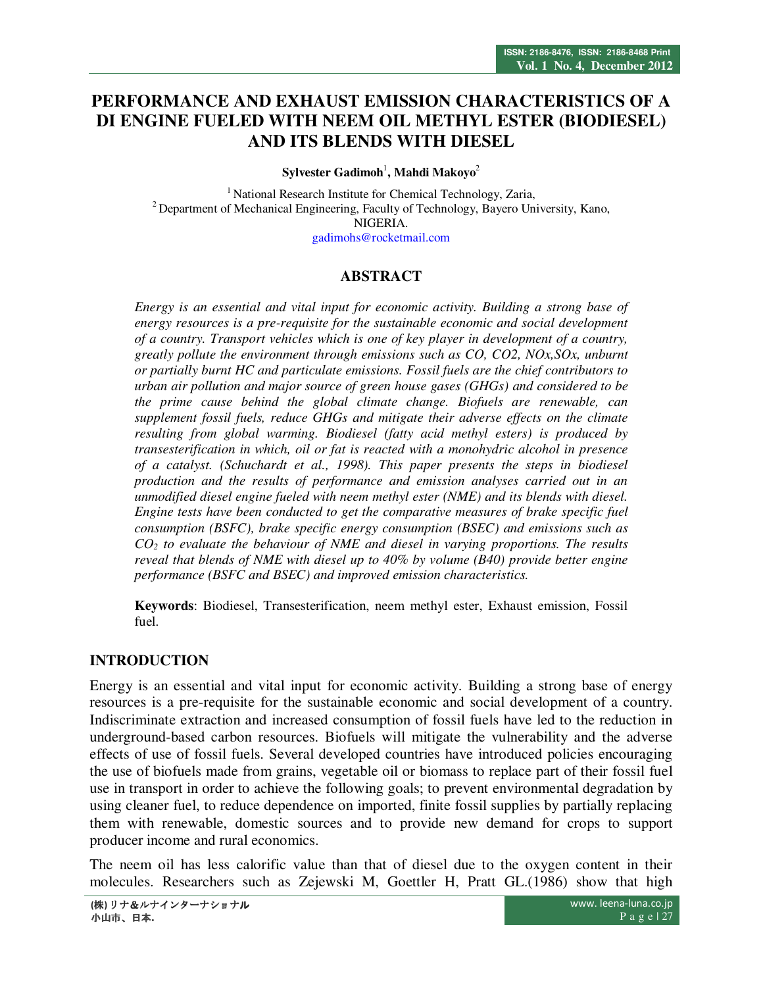# **PERFORMANCE AND EXHAUST EMISSION CHARACTERISTICS OF A DI ENGINE FUELED WITH NEEM OIL METHYL ESTER (BIODIESEL) AND ITS BLENDS WITH DIESEL**

 $\mathbf S$ ylvester Gadimoh<sup>1</sup>, Mahdi Makoyo<sup>2</sup>

 $1$  National Research Institute for Chemical Technology, Zaria,  $2$  Department of Mechanical Engineering, Faculty of Technology, Bayero University, Kano, NIGERIA.

gadimohs@rocketmail.com

### **ABSTRACT**

*Energy is an essential and vital input for economic activity. Building a strong base of energy resources is a pre-requisite for the sustainable economic and social development of a country. Transport vehicles which is one of key player in development of a country, greatly pollute the environment through emissions such as CO, CO2, NOx,SOx, unburnt or partially burnt HC and particulate emissions. Fossil fuels are the chief contributors to urban air pollution and major source of green house gases (GHGs) and considered to be the prime cause behind the global climate change. Biofuels are renewable, can supplement fossil fuels, reduce GHGs and mitigate their adverse effects on the climate resulting from global warming. Biodiesel (fatty acid methyl esters) is produced by transesterification in which, oil or fat is reacted with a monohydric alcohol in presence of a catalyst. (Schuchardt et al., 1998). This paper presents the steps in biodiesel production and the results of performance and emission analyses carried out in an unmodified diesel engine fueled with neem methyl ester (NME) and its blends with diesel. Engine tests have been conducted to get the comparative measures of brake specific fuel consumption (BSFC), brake specific energy consumption (BSEC) and emissions such as CO2 to evaluate the behaviour of NME and diesel in varying proportions. The results reveal that blends of NME with diesel up to 40% by volume (B40) provide better engine performance (BSFC and BSEC) and improved emission characteristics.* 

**Keywords**: Biodiesel, Transesterification, neem methyl ester, Exhaust emission, Fossil fuel.

#### **INTRODUCTION**

Energy is an essential and vital input for economic activity. Building a strong base of energy resources is a pre-requisite for the sustainable economic and social development of a country. Indiscriminate extraction and increased consumption of fossil fuels have led to the reduction in underground-based carbon resources. Biofuels will mitigate the vulnerability and the adverse effects of use of fossil fuels. Several developed countries have introduced policies encouraging the use of biofuels made from grains, vegetable oil or biomass to replace part of their fossil fuel use in transport in order to achieve the following goals; to prevent environmental degradation by using cleaner fuel, to reduce dependence on imported, finite fossil supplies by partially replacing them with renewable, domestic sources and to provide new demand for crops to support producer income and rural economics.

The neem oil has less calorific value than that of diesel due to the oxygen content in their molecules. Researchers such as Zejewski M, Goettler H, Pratt GL.(1986) show that high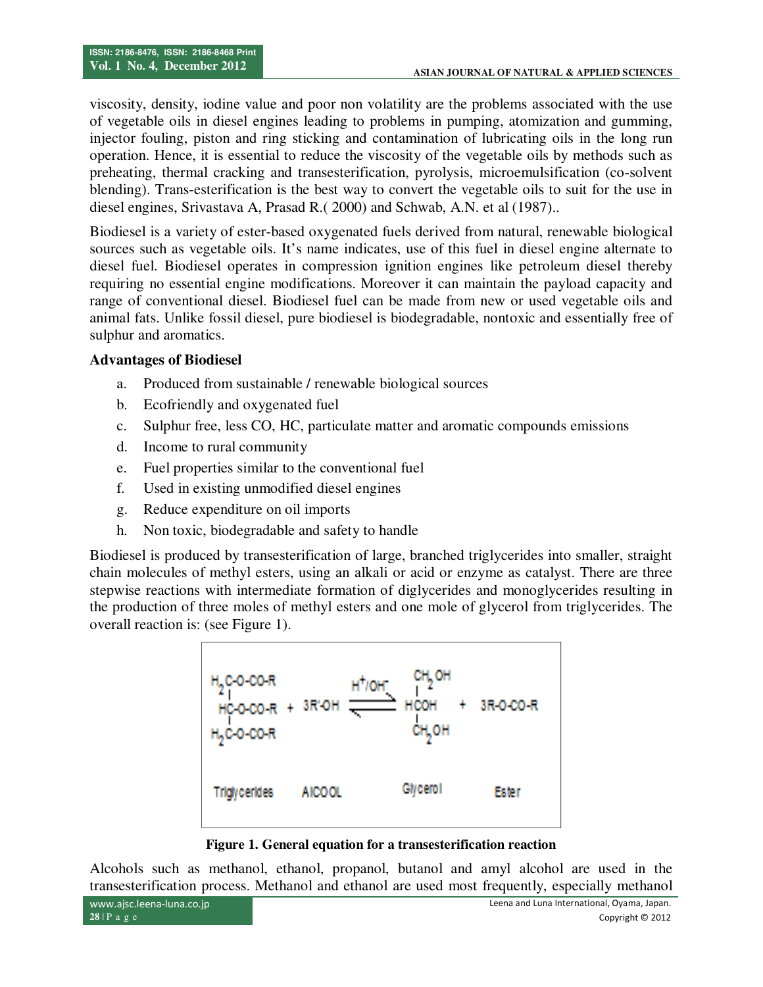viscosity, density, iodine value and poor non volatility are the problems associated with the use of vegetable oils in diesel engines leading to problems in pumping, atomization and gumming, injector fouling, piston and ring sticking and contamination of lubricating oils in the long run operation. Hence, it is essential to reduce the viscosity of the vegetable oils by methods such as preheating, thermal cracking and transesterification, pyrolysis, microemulsification (co-solvent blending). Trans-esterification is the best way to convert the vegetable oils to suit for the use in diesel engines, Srivastava A, Prasad R.( 2000) and Schwab, A.N. et al (1987)..

Biodiesel is a variety of ester-based oxygenated fuels derived from natural, renewable biological sources such as vegetable oils. It's name indicates, use of this fuel in diesel engine alternate to diesel fuel. Biodiesel operates in compression ignition engines like petroleum diesel thereby requiring no essential engine modifications. Moreover it can maintain the payload capacity and range of conventional diesel. Biodiesel fuel can be made from new or used vegetable oils and animal fats. Unlike fossil diesel, pure biodiesel is biodegradable, nontoxic and essentially free of sulphur and aromatics.

# **Advantages of Biodiesel**

- a. Produced from sustainable / renewable biological sources
- b. Ecofriendly and oxygenated fuel
- c. Sulphur free, less CO, HC, particulate matter and aromatic compounds emissions
- d. Income to rural community
- e. Fuel properties similar to the conventional fuel
- f. Used in existing unmodified diesel engines
- g. Reduce expenditure on oil imports
- h. Non toxic, biodegradable and safety to handle

Biodiesel is produced by transesterification of large, branched triglycerides into smaller, straight chain molecules of methyl esters, using an alkali or acid or enzyme as catalyst. There are three stepwise reactions with intermediate formation of diglycerides and monoglycerides resulting in the production of three moles of methyl esters and one mole of glycerol from triglycerides. The overall reaction is: (see Figure 1).



**Figure 1. General equation for a transesterification reaction**

Alcohols such as methanol, ethanol, propanol, butanol and amyl alcohol are used in the transesterification process. Methanol and ethanol are used most frequently, especially methanol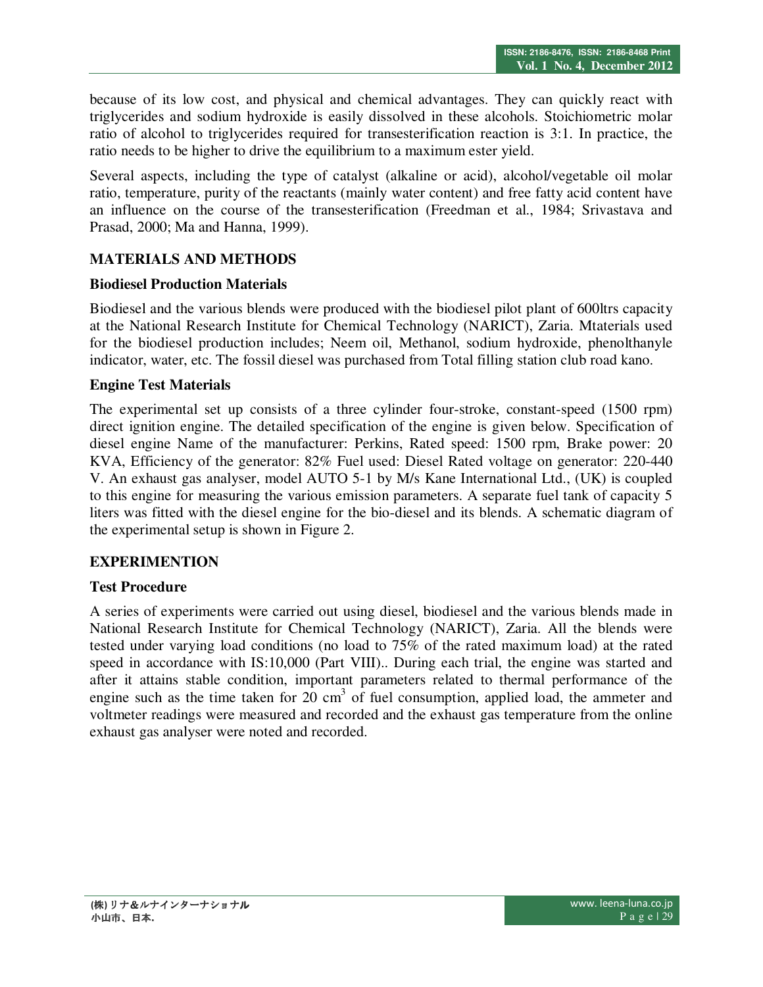because of its low cost, and physical and chemical advantages. They can quickly react with triglycerides and sodium hydroxide is easily dissolved in these alcohols. Stoichiometric molar ratio of alcohol to triglycerides required for transesterification reaction is 3:1. In practice, the ratio needs to be higher to drive the equilibrium to a maximum ester yield.

Several aspects, including the type of catalyst (alkaline or acid), alcohol/vegetable oil molar ratio, temperature, purity of the reactants (mainly water content) and free fatty acid content have an influence on the course of the transesterification (Freedman et al., 1984; Srivastava and Prasad, 2000; Ma and Hanna, 1999).

# **MATERIALS AND METHODS**

### **Biodiesel Production Materials**

Biodiesel and the various blends were produced with the biodiesel pilot plant of 600ltrs capacity at the National Research Institute for Chemical Technology (NARICT), Zaria. Mtaterials used for the biodiesel production includes; Neem oil, Methanol, sodium hydroxide, phenolthanyle indicator, water, etc. The fossil diesel was purchased from Total filling station club road kano.

### **Engine Test Materials**

The experimental set up consists of a three cylinder four-stroke, constant-speed (1500 rpm) direct ignition engine. The detailed specification of the engine is given below. Specification of diesel engine Name of the manufacturer: Perkins, Rated speed: 1500 rpm, Brake power: 20 KVA, Efficiency of the generator: 82% Fuel used: Diesel Rated voltage on generator: 220-440 V. An exhaust gas analyser, model AUTO 5-1 by M/s Kane International Ltd., (UK) is coupled to this engine for measuring the various emission parameters. A separate fuel tank of capacity 5 liters was fitted with the diesel engine for the bio-diesel and its blends. A schematic diagram of the experimental setup is shown in Figure 2.

# **EXPERIMENTION**

# **Test Procedure**

A series of experiments were carried out using diesel, biodiesel and the various blends made in National Research Institute for Chemical Technology (NARICT), Zaria. All the blends were tested under varying load conditions (no load to 75% of the rated maximum load) at the rated speed in accordance with IS:10,000 (Part VIII).. During each trial, the engine was started and after it attains stable condition, important parameters related to thermal performance of the engine such as the time taken for  $20 \text{ cm}^3$  of fuel consumption, applied load, the ammeter and voltmeter readings were measured and recorded and the exhaust gas temperature from the online exhaust gas analyser were noted and recorded.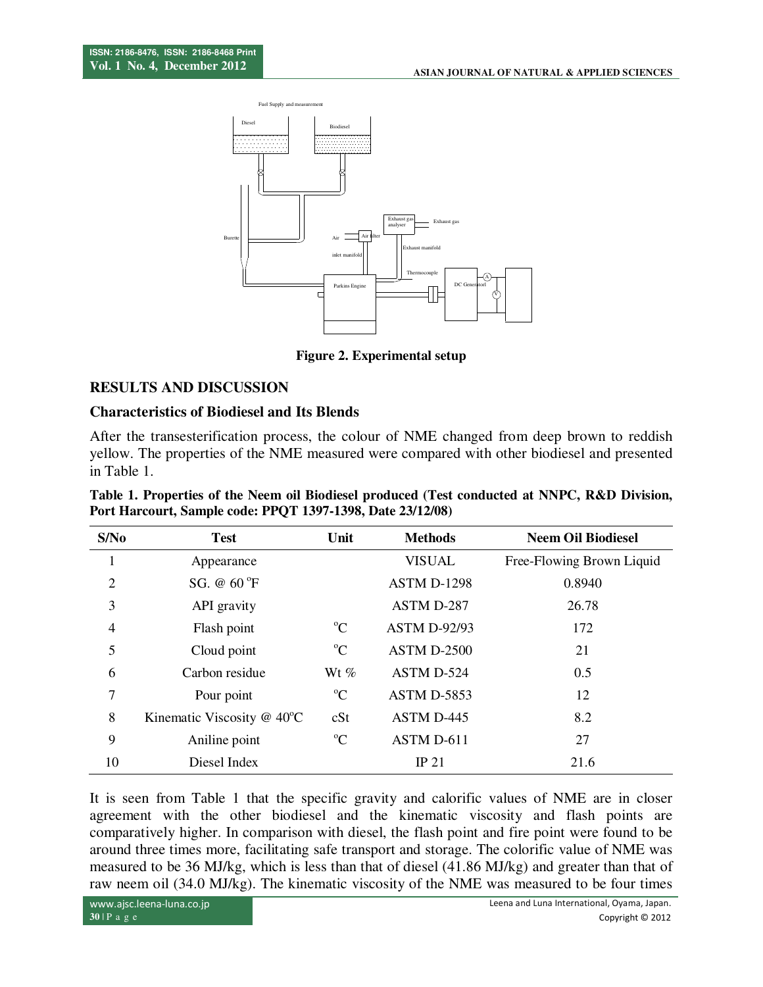

**Figure 2. Experimental setup** 

# **RESULTS AND DISCUSSION**

#### **Characteristics of Biodiesel and Its Blends**

After the transesterification process, the colour of NME changed from deep brown to reddish yellow. The properties of the NME measured were compared with other biodiesel and presented in Table 1.

| Table 1. Properties of the Neem oil Biodiesel produced (Test conducted at NNPC, R&D Division, |  |
|-----------------------------------------------------------------------------------------------|--|
| Port Harcourt, Sample code: PPQT 1397-1398, Date 23/12/08)                                    |  |

| S/No           | <b>Test</b>                     | Unit        | <b>Methods</b>      | <b>Neem Oil Biodiesel</b> |
|----------------|---------------------------------|-------------|---------------------|---------------------------|
| 1              | Appearance                      |             | <b>VISUAL</b>       | Free-Flowing Brown Liquid |
| $\overline{2}$ | SG. $@60^{\circ}F$              |             | <b>ASTM D-1298</b>  | 0.8940                    |
| 3              | API gravity                     |             | ASTM D-287          | 26.78                     |
| 4              | Flash point                     | $\rm ^{o}C$ | <b>ASTM D-92/93</b> | 172                       |
| 5              | Cloud point                     | $\rm ^{o}C$ | <b>ASTM D-2500</b>  | 21                        |
| 6              | Carbon residue                  | Wt $%$      | ASTM D-524          | 0.5                       |
| 7              | Pour point                      | $\rm ^{o}C$ | ASTM D-5853         | 12                        |
| 8              | Kinematic Viscosity $@$ 40 $°C$ | cSt         | ASTM D-445          | 8.2                       |
| 9              | Aniline point                   | $\rm ^{o}C$ | ASTM D-611          | 27                        |
| 10             | Diesel Index                    |             | IP 21               | 21.6                      |

It is seen from Table 1 that the specific gravity and calorific values of NME are in closer agreement with the other biodiesel and the kinematic viscosity and flash points are comparatively higher. In comparison with diesel, the flash point and fire point were found to be around three times more, facilitating safe transport and storage. The colorific value of NME was measured to be 36 MJ/kg, which is less than that of diesel (41.86 MJ/kg) and greater than that of raw neem oil (34.0 MJ/kg). The kinematic viscosity of the NME was measured to be four times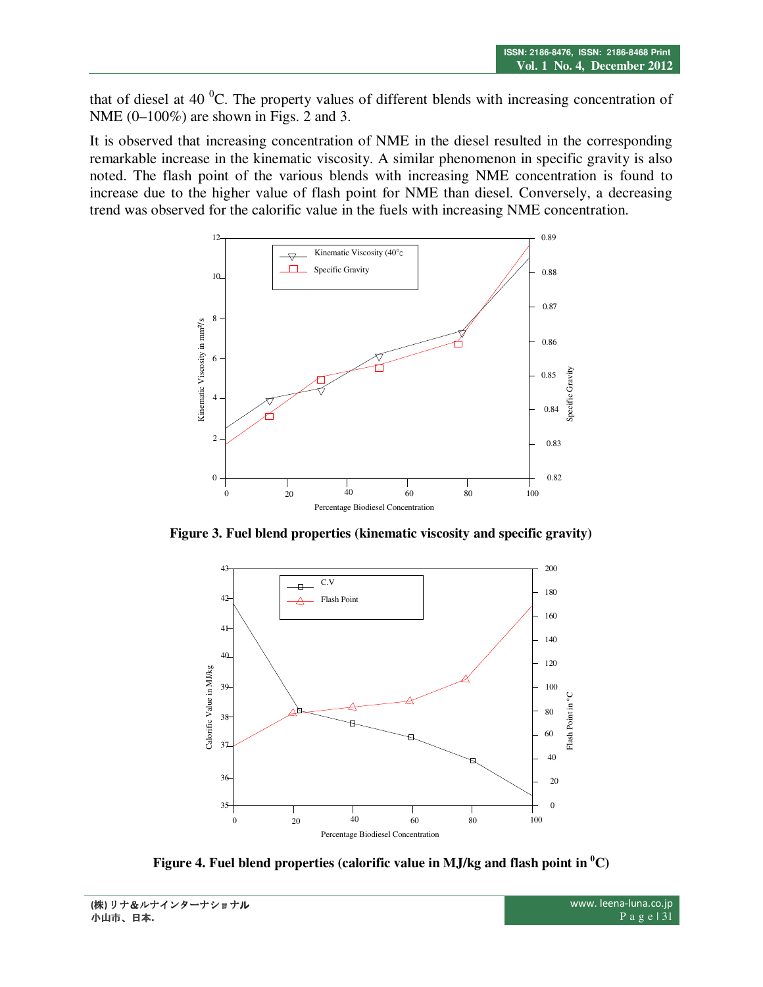that of diesel at 40 $\mathrm{^{0}C}$ . The property values of different blends with increasing concentration of NME (0–100%) are shown in Figs. 2 and 3.

It is observed that increasing concentration of NME in the diesel resulted in the corresponding remarkable increase in the kinematic viscosity. A similar phenomenon in specific gravity is also noted. The flash point of the various blends with increasing NME concentration is found to increase due to the higher value of flash point for NME than diesel. Conversely, a decreasing trend was observed for the calorific value in the fuels with increasing NME concentration.



**Figure 3. Fuel blend properties (kinematic viscosity and specific gravity)** 



**Figure 4. Fuel blend properties (calorific value in MJ/kg and flash point in**  $^0C$ **)**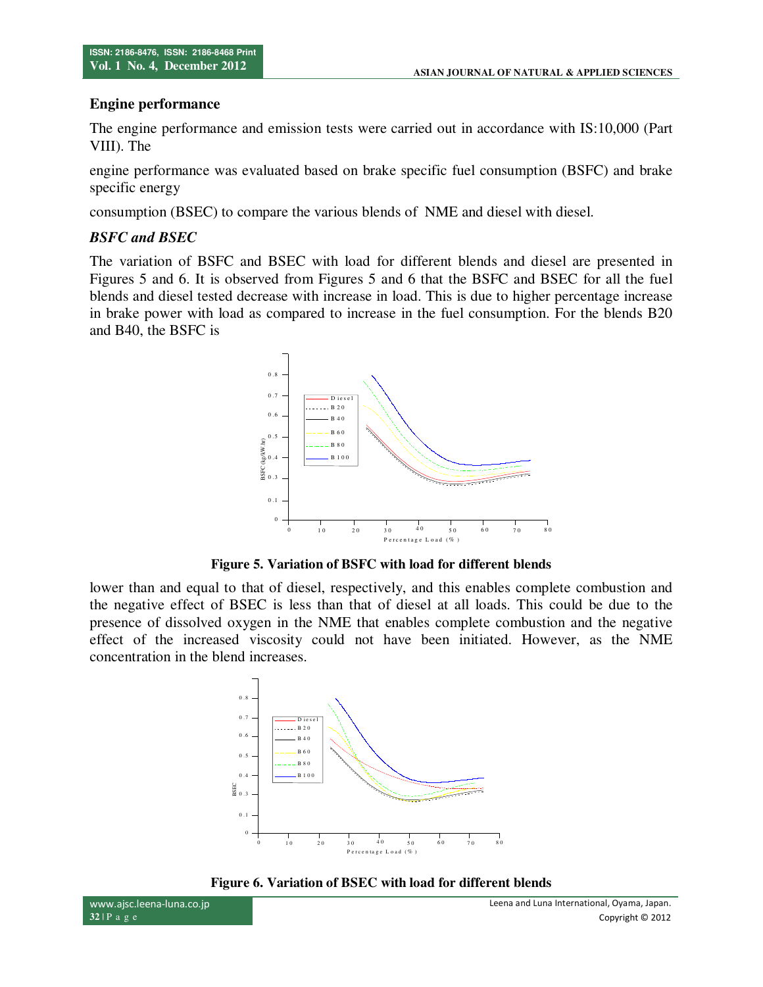#### **Engine performance**

The engine performance and emission tests were carried out in accordance with IS:10,000 (Part VIII). The

engine performance was evaluated based on brake specific fuel consumption (BSFC) and brake specific energy

consumption (BSEC) to compare the various blends of NME and diesel with diesel.

#### *BSFC and BSEC*

The variation of BSFC and BSEC with load for different blends and diesel are presented in Figures 5 and 6. It is observed from Figures 5 and 6 that the BSFC and BSEC for all the fuel blends and diesel tested decrease with increase in load. This is due to higher percentage increase in brake power with load as compared to increase in the fuel consumption. For the blends B20 and B40, the BSFC is



**Figure 5. Variation of BSFC with load for different blends** 

lower than and equal to that of diesel, respectively, and this enables complete combustion and the negative effect of BSEC is less than that of diesel at all loads. This could be due to the presence of dissolved oxygen in the NME that enables complete combustion and the negative effect of the increased viscosity could not have been initiated. However, as the NME concentration in the blend increases.



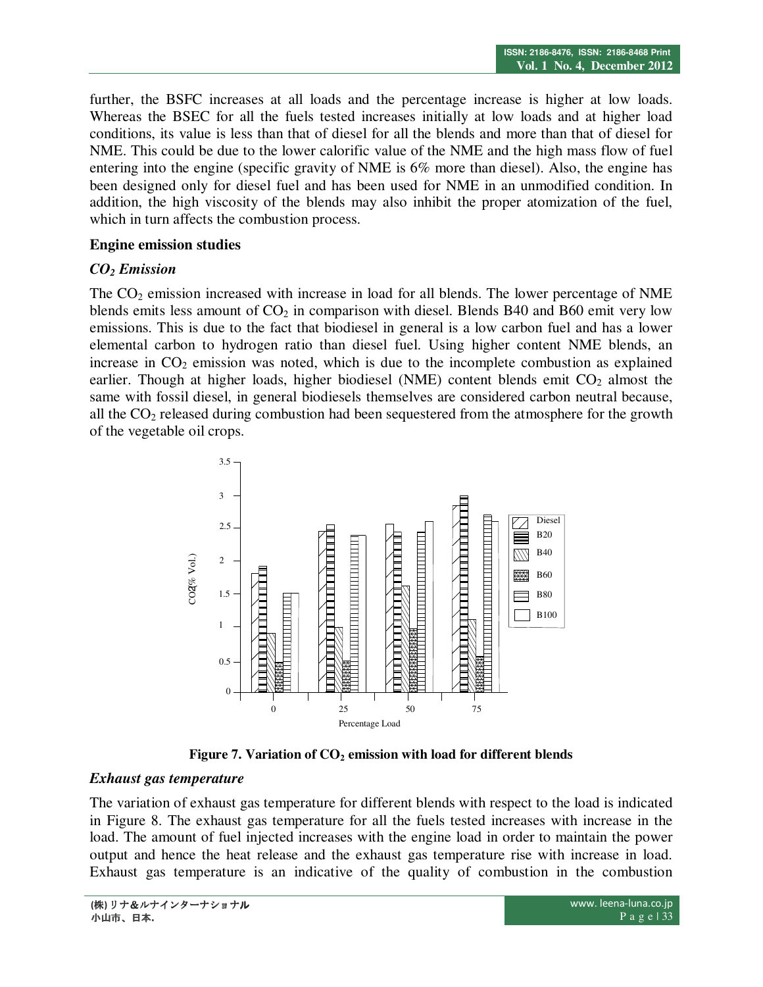further, the BSFC increases at all loads and the percentage increase is higher at low loads. Whereas the BSEC for all the fuels tested increases initially at low loads and at higher load conditions, its value is less than that of diesel for all the blends and more than that of diesel for NME. This could be due to the lower calorific value of the NME and the high mass flow of fuel entering into the engine (specific gravity of NME is 6% more than diesel). Also, the engine has been designed only for diesel fuel and has been used for NME in an unmodified condition. In addition, the high viscosity of the blends may also inhibit the proper atomization of the fuel, which in turn affects the combustion process.

### **Engine emission studies**

# *CO2 Emission*

The  $CO<sub>2</sub>$  emission increased with increase in load for all blends. The lower percentage of NME blends emits less amount of  $CO<sub>2</sub>$  in comparison with diesel. Blends B40 and B60 emit very low emissions. This is due to the fact that biodiesel in general is a low carbon fuel and has a lower elemental carbon to hydrogen ratio than diesel fuel. Using higher content NME blends, an increase in  $CO<sub>2</sub>$  emission was noted, which is due to the incomplete combustion as explained earlier. Though at higher loads, higher biodiesel (NME) content blends emit  $CO<sub>2</sub>$  almost the same with fossil diesel, in general biodiesels themselves are considered carbon neutral because, all the  $CO<sub>2</sub>$  released during combustion had been sequestered from the atmosphere for the growth of the vegetable oil crops.



**Figure 7. Variation of CO2 emission with load for different blends** 

# *Exhaust gas temperature*

The variation of exhaust gas temperature for different blends with respect to the load is indicated in Figure 8. The exhaust gas temperature for all the fuels tested increases with increase in the load. The amount of fuel injected increases with the engine load in order to maintain the power output and hence the heat release and the exhaust gas temperature rise with increase in load. Exhaust gas temperature is an indicative of the quality of combustion in the combustion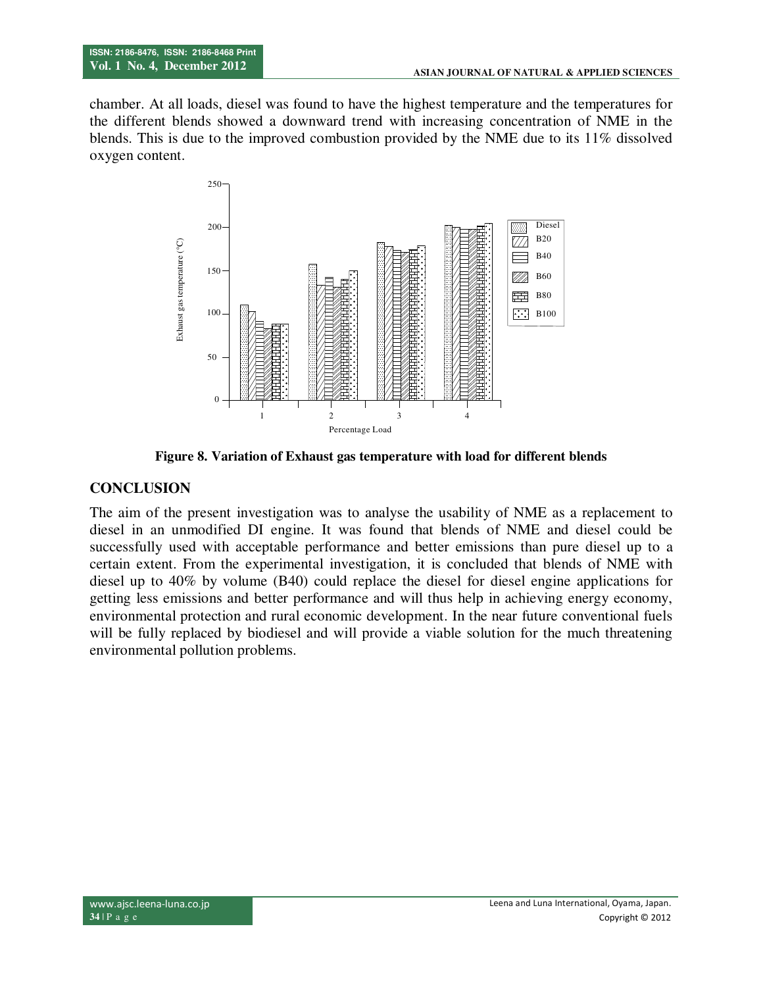chamber. At all loads, diesel was found to have the highest temperature and the temperatures for the different blends showed a downward trend with increasing concentration of NME in the blends. This is due to the improved combustion provided by the NME due to its 11% dissolved oxygen content.



**Figure 8. Variation of Exhaust gas temperature with load for different blends**

### **CONCLUSION**

The aim of the present investigation was to analyse the usability of NME as a replacement to diesel in an unmodified DI engine. It was found that blends of NME and diesel could be successfully used with acceptable performance and better emissions than pure diesel up to a certain extent. From the experimental investigation, it is concluded that blends of NME with diesel up to 40% by volume (B40) could replace the diesel for diesel engine applications for getting less emissions and better performance and will thus help in achieving energy economy, environmental protection and rural economic development. In the near future conventional fuels will be fully replaced by biodiesel and will provide a viable solution for the much threatening environmental pollution problems.